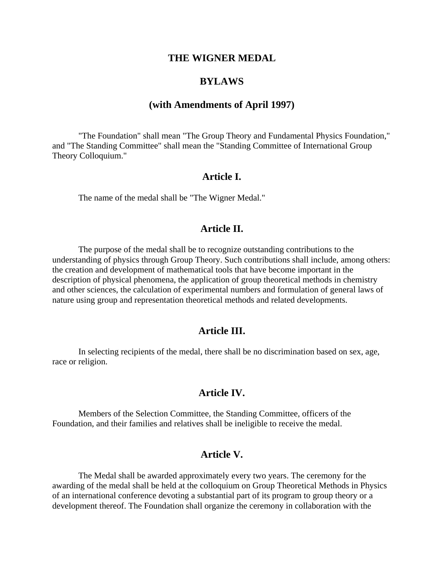#### **THE WIGNER MEDAL**

## **BYLAWS**

## **(with Amendments of April 1997)**

"The Foundation" shall mean "The Group Theory and Fundamental Physics Foundation," and "The Standing Committee" shall mean the "Standing Committee of International Group Theory Colloquium."

### **Article I.**

The name of the medal shall be "The Wigner Medal."

## **Article II.**

The purpose of the medal shall be to recognize outstanding contributions to the understanding of physics through Group Theory. Such contributions shall include, among others: the creation and development of mathematical tools that have become important in the description of physical phenomena, the application of group theoretical methods in chemistry and other sciences, the calculation of experimental numbers and formulation of general laws of nature using group and representation theoretical methods and related developments.

### **Article III.**

In selecting recipients of the medal, there shall be no discrimination based on sex, age, race or religion.

#### **Article IV.**

Members of the Selection Committee, the Standing Committee, officers of the Foundation, and their families and relatives shall be ineligible to receive the medal.

## **Article V.**

The Medal shall be awarded approximately every two years. The ceremony for the awarding of the medal shall be held at the colloquium on Group Theoretical Methods in Physics of an international conference devoting a substantial part of its program to group theory or a development thereof. The Foundation shall organize the ceremony in collaboration with the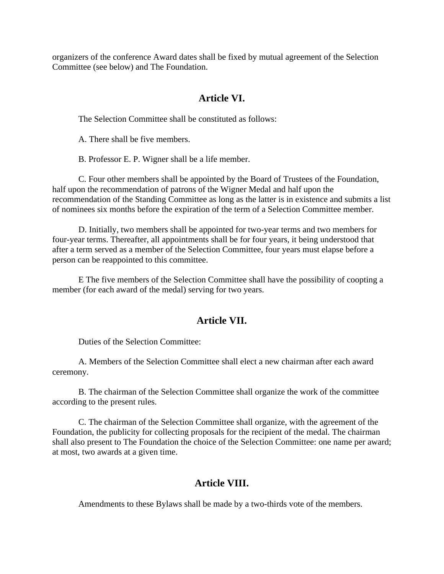organizers of the conference Award dates shall be fixed by mutual agreement of the Selection Committee (see below) and The Foundation.

# **Article VI.**

The Selection Committee shall be constituted as follows:

A. There shall be five members.

B. Professor E. P. Wigner shall be a life member.

C. Four other members shall be appointed by the Board of Trustees of the Foundation, half upon the recommendation of patrons of the Wigner Medal and half upon the recommendation of the Standing Committee as long as the latter is in existence and submits a list of nominees six months before the expiration of the term of a Selection Committee member.

D. Initially, two members shall be appointed for two-year terms and two members for four-year terms. Thereafter, all appointments shall be for four years, it being understood that after a term served as a member of the Selection Committee, four years must elapse before a person can be reappointed to this committee.

E The five members of the Selection Committee shall have the possibility of coopting a member (for each award of the medal) serving for two years.

# **Article VII.**

Duties of the Selection Committee:

A. Members of the Selection Committee shall elect a new chairman after each award ceremony.

B. The chairman of the Selection Committee shall organize the work of the committee according to the present rules.

C. The chairman of the Selection Committee shall organize, with the agreement of the Foundation, the publicity for collecting proposals for the recipient of the medal. The chairman shall also present to The Foundation the choice of the Selection Committee: one name per award; at most, two awards at a given time.

# **Article VIII.**

Amendments to these Bylaws shall be made by a two-thirds vote of the members.